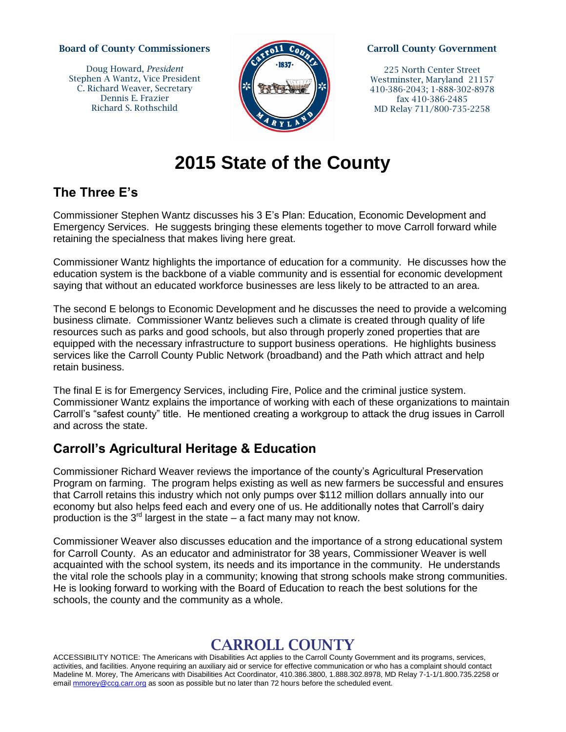#### **Board of County Commissioners**

Doug Howard, *President* Stephen A Wantz, Vice President C. Richard Weaver, Secretary Dennis E. Frazier Richard S. Rothschild



#### **Carroll County Government**

225 North Center Street Westminster, Maryland 21157 410-386-2043; 1-888-302-8978 fax 410-386-2485 MD Relay 711/800-735-2258

# **2015 State of the County**

### **The Three E's**

Commissioner Stephen Wantz discusses his 3 E's Plan: Education, Economic Development and Emergency Services. He suggests bringing these elements together to move Carroll forward while retaining the specialness that makes living here great.

Commissioner Wantz highlights the importance of education for a community. He discusses how the education system is the backbone of a viable community and is essential for economic development saying that without an educated workforce businesses are less likely to be attracted to an area.

The second E belongs to Economic Development and he discusses the need to provide a welcoming business climate. Commissioner Wantz believes such a climate is created through quality of life resources such as parks and good schools, but also through properly zoned properties that are equipped with the necessary infrastructure to support business operations. He highlights business services like the Carroll County Public Network (broadband) and the Path which attract and help retain business.

The final E is for Emergency Services, including Fire, Police and the criminal justice system. Commissioner Wantz explains the importance of working with each of these organizations to maintain Carroll's "safest county" title. He mentioned creating a workgroup to attack the drug issues in Carroll and across the state.

## **Carroll's Agricultural Heritage & Education**

Commissioner Richard Weaver reviews the importance of the county's Agricultural Preservation Program on farming. The program helps existing as well as new farmers be successful and ensures that Carroll retains this industry which not only pumps over \$112 million dollars annually into our economy but also helps feed each and every one of us. He additionally notes that Carroll's dairy production is the  $3<sup>rd</sup>$  largest in the state – a fact many may not know.

Commissioner Weaver also discusses education and the importance of a strong educational system for Carroll County. As an educator and administrator for 38 years, Commissioner Weaver is well acquainted with the school system, its needs and its importance in the community. He understands the vital role the schools play in a community; knowing that strong schools make strong communities. He is looking forward to working with the Board of Education to reach the best solutions for the schools, the county and the community as a whole.

# **CARROLL COUNTY**

ACCESSIBILITY NOTICE: The Americans with Disabilities Act applies to the Carroll County Government and its programs, services, activities, and facilities. Anyone requiring an auxiliary aid or service for effective communication or who has a complaint should contact Madeline M. Morey, The Americans with Disabilities Act Coordinator, 410.386.3800, 1.888.302.8978, MD Relay 7-1-1/1.800.735.2258 or email [mmorey@ccg.carr.org](mailto:mmorey@ccg.carr.org) as soon as possible but no later than 72 hours before the scheduled event.